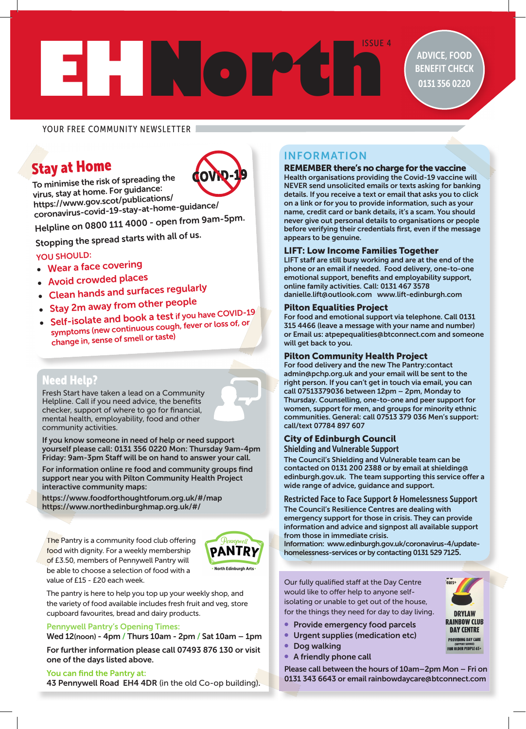# **EHNORTH SIDE 4**

ADVICE, FOOD BENEFIT CHECK 0131 356 0220

# YOUR FREE COMMUNITY NEWSLETTER

# Stay at Home To minimise the risk of spreading the



virus, stay at home. For guidance: https://www.gov.scot/publications/ coronavirus-covid-19-stay-at-home-guidance/

Helpline on 0800 111 4000 - open from 9am-5pm.

Stopping the spread starts with all of us.

# YOU SHOULD:

- Wear a face covering
- Avoid crowded places
- Clean hands and surfaces regularly
- Stay 2m away from other people
- Self-isolate and book a test if you have COVID-19 symptoms (new continuous cough, fever or loss of, or change in, sense of smell or taste)

# Need Help?

Fresh Start have taken a lead on a Community Helpline. Call if you need advice, the benefits checker, support of where to go for financial, mental health, employability, food and other community activities.



If you know someone in need of help or need support yourself please call: 0131 356 0220 Mon: Thursday 9am-4pm Friday: 9am-3pm Staff will be on hand to answer your call.

For information online re food and community groups find support near you with Pilton Community Health Project interactive community maps:

https://www.foodforthoughtforum.org.uk/#/map https://www.northedinburghmap.org.uk/#/

The Pantry is a community food club offering food with dignity. For a weekly membership of £3.50, members of Pennywell Pantry will be able to choose a selection of food with a value of £15 - £20 each week.



The pantry is here to help you top up your weekly shop, and the variety of food available includes fresh fruit and veg, store cupboard favourites, bread and dairy products.

#### Pennywell Pantry's Opening Times:

Wed 12(noon) - 4pm / Thurs 10am - 2pm / Sat 10am – 1pm

For further information please call 07493 876 130 or visit one of the days listed above.

#### You can find the Pantry at:

43 Pennywell Road EH4 4DR (in the old Co-op building).

# INFORMATION

#### REMEMBER there's no charge for the vaccine

Health organisations providing the Covid-19 vaccine will NEVER send unsolicited emails or texts asking for banking details. If you receive a text or email that asks you to click on a link or for you to provide information, such as your name, credit card or bank details, it's a scam. You should never give out personal details to organisations or people before verifying their credentials first, even if the message appears to be genuine.

## LIFT: Low Income Families Together

LIFT staff are still busy working and are at the end of the phone or an email if needed. Food delivery, one-to-one emotional support, benefits and employability support, online family activities. Call: 0131 467 3578 danielle.lift@outlook.com www.lift-edinburgh.com

#### Pilton Equalities Project

For food and emotional support via telephone. Call 0131 315 4466 (leave a message with your name and number) or Email us: atpepequalities@btconnect.com and someone will get back to you.

#### Pilton Community Health Project

For food delivery and the new The Pantry:contact admin@pchp.org.uk and your email will be sent to the right person. If you can't get in touch via email, you can call 07513379036 between 12pm – 2pm, Monday to Thursday. Counselling, one-to-one and peer support for women, support for men, and groups for minority ethnic communities. General: call 07513 379 036 Men's support: call/text 07784 897 607

# City of Edinburgh Council

Shielding and Vulnerable Support

The Council's Shielding and Vulnerable team can be contacted on 0131 200 2388 or by email at shielding@ edinburgh.gov.uk. The team supporting this service offer a wide range of advice, guidance and support.

#### Restricted Face to Face Support & Homelessness Support

The Council's Resilience Centres are dealing with emergency support for those in crisis. They can provide information and advice and signpost all available support from those in immediate crisis.

Information: www.edinburgh.gov.uk/coronavirus-4/updatehomelessness-services or by contacting 0131 529 7125.

Our fully qualified staff at the Day Centre would like to offer help to anyone selfisolating or unable to get out of the house, for the things they need for day to day living.

- Provide emergency food parcels
- Urgent supplies (medication etc)
- Dog walking
- A friendly phone call



- 
- Please call between the hours of 10am–2pm Mon Fri on

0131 343 6643 or email rainbowdaycare@btconnect.com